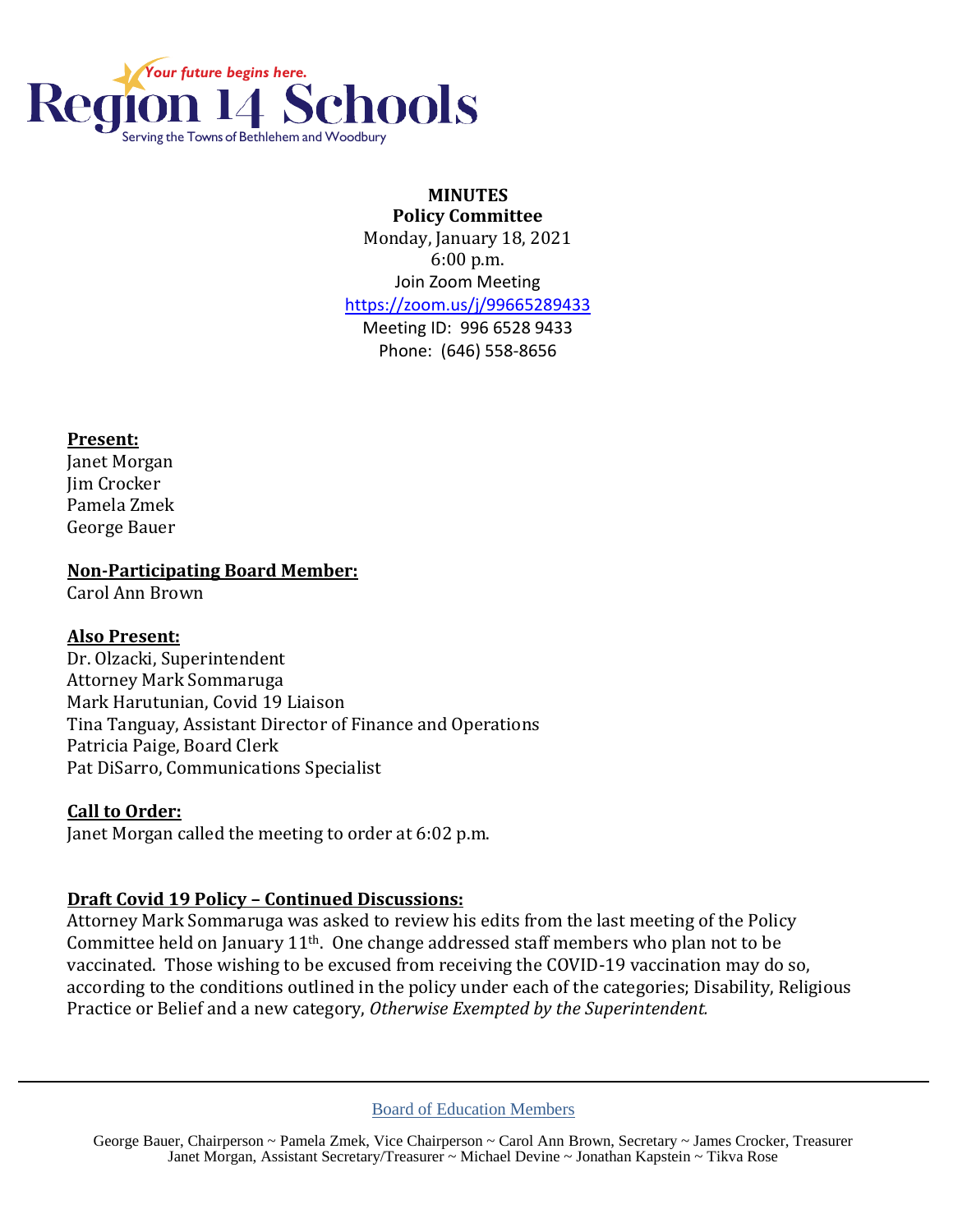

#### **MINUTES Policy Committee**

Monday, January 18, 2021 6:00 p.m. Join Zoom Meeting <https://zoom.us/j/99665289433>

Meeting ID: 996 6528 9433 Phone: (646) 558-8656

### **Present:**

Janet Morgan Jim Crocker Pamela Zmek George Bauer

**Non-Participating Board Member:**

Carol Ann Brown

# **Also Present:**

Dr. Olzacki, Superintendent Attorney Mark Sommaruga Mark Harutunian, Covid 19 Liaison Tina Tanguay, Assistant Director of Finance and Operations Patricia Paige, Board Clerk Pat DiSarro, Communications Specialist

# **Call to Order:**

Janet Morgan called the meeting to order at 6:02 p.m.

# **Draft Covid 19 Policy – Continued Discussions:**

Attorney Mark Sommaruga was asked to review his edits from the last meeting of the Policy Committee held on January  $11<sup>th</sup>$ . One change addressed staff members who plan not to be vaccinated. Those wishing to be excused from receiving the COVID-19 vaccination may do so, according to the conditions outlined in the policy under each of the categories; Disability, Religious Practice or Belief and a new category, *Otherwise Exempted by the Superintendent.*

#### Board of Education Members

George Bauer, Chairperson ~ Pamela Zmek, Vice Chairperson ~ Carol Ann Brown, Secretary ~ James Crocker, Treasurer Janet Morgan, Assistant Secretary/Treasurer ~ Michael Devine ~ Jonathan Kapstein ~ Tikva Rose